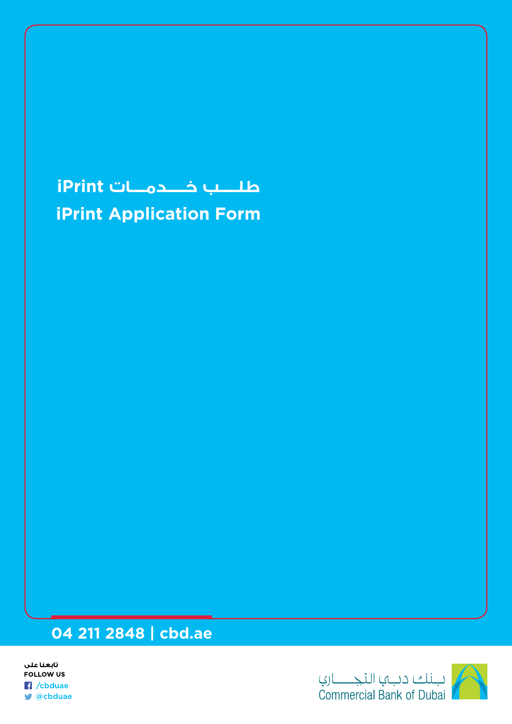## **طلـــــب خـــــدمــــات iPrint**

**iPrint Application Form** 

## **04 211 2848 | cbd.ae**

تابعنا على **FOLLOW US R** /cbduae ■ @cbduae

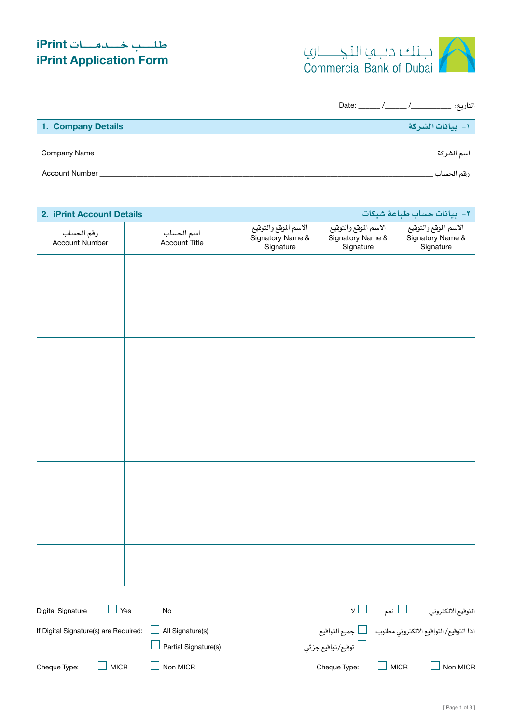## **طـلـــــب خـــــدمـــــات iPrint iPrint Application Form**



التاريخ: \_\_\_\_\_\_\_\_\_\_\_/ \_\_\_\_\_\_/ \_\_\_\_\_\_ :Date

| 1. Company Details    | 1- بيانات الشركة |
|-----------------------|------------------|
| Company Name          | - اسم الشر کة    |
| <b>Account Number</b> | رقم الحساب ِ     |

| 2. iPrint Account Details    |                             |                                                        |                                                        | ٢- بيانات حساب طباعة شيكات                             |
|------------------------------|-----------------------------|--------------------------------------------------------|--------------------------------------------------------|--------------------------------------------------------|
| رقم الحساب<br>Account Number | اسم الحساب<br>Account Title | الاسم الموقع والتوقيع<br>Signatory Name &<br>Signature | الاسم الموقع والتوقيع<br>Signatory Name &<br>Signature | الاسم الموقع والتوقيع<br>Signatory Name &<br>Signature |
|                              |                             |                                                        |                                                        |                                                        |
|                              |                             |                                                        |                                                        |                                                        |
|                              |                             |                                                        |                                                        |                                                        |
|                              |                             |                                                        |                                                        |                                                        |
|                              |                             |                                                        |                                                        |                                                        |
|                              |                             |                                                        |                                                        |                                                        |
|                              |                             |                                                        |                                                        |                                                        |
|                              |                             |                                                        |                                                        |                                                        |
|                              |                             |                                                        |                                                        |                                                        |
|                              |                             |                                                        |                                                        |                                                        |
|                              |                             |                                                        |                                                        |                                                        |
|                              |                             |                                                        |                                                        |                                                        |
|                              |                             |                                                        |                                                        |                                                        |
|                              |                             |                                                        |                                                        |                                                        |
|                              |                             |                                                        |                                                        |                                                        |
|                              |                             |                                                        |                                                        |                                                        |
|                              |                             |                                                        |                                                        |                                                        |

| Digital Signature<br>Yes              | No                   |                           | ا نعم       | التوقيع الالكتروني                                              |
|---------------------------------------|----------------------|---------------------------|-------------|-----------------------------------------------------------------|
| If Digital Signature(s) are Required: | All Signature(s)     |                           |             | اذا التوقيع/التواقيع الالكتروني مطلوب: ﴿ لَـــــا جميع التواقيع |
|                                       | Partial Signature(s) | لـــــا توقيع/تواقيع جزئي |             |                                                                 |
| <b>MICR</b><br>Cheque Type:           | Non MICR             | Cheque Type:              | <b>MICR</b> | Non MICR                                                        |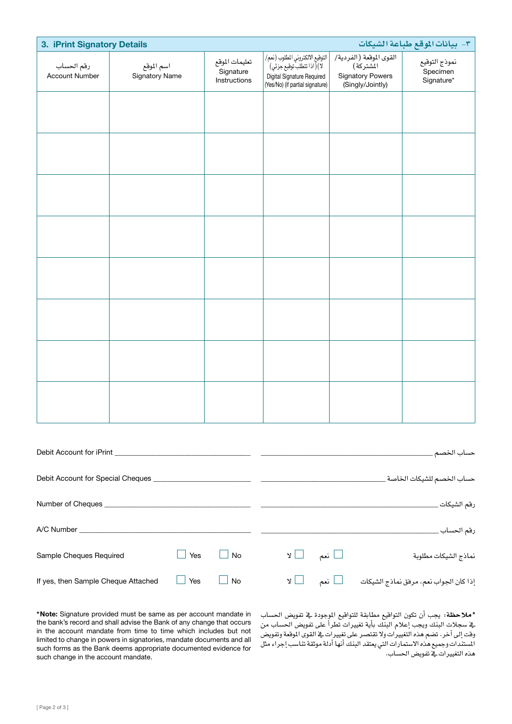| 3. iPrint Signatory Details         |                              |                                             |                                                                                                                                     |                                                                                     | ٣- بيانات الموقع طباعة الشيكات          |
|-------------------------------------|------------------------------|---------------------------------------------|-------------------------------------------------------------------------------------------------------------------------------------|-------------------------------------------------------------------------------------|-----------------------------------------|
| رقم الحساب<br><b>Account Number</b> | اسم الموقع<br>Signatory Name | تعليمات الموقع<br>Signature<br>Instructions | التوقيع الالكتروني المطلوب (نعم/  <br>  2) ( اذا تتطلب توقيع جزئي)<br>Digital Signature Required<br>(Yes/No) (if partial signature) | القوى الموقعة (الفردية/<br>المشتركة)<br><b>Signatory Powers</b><br>(Singly/Jointly) | نموذج التوقيع<br>Specimen<br>Signature* |
|                                     |                              |                                             |                                                                                                                                     |                                                                                     |                                         |
|                                     |                              |                                             |                                                                                                                                     |                                                                                     |                                         |
|                                     |                              |                                             |                                                                                                                                     |                                                                                     |                                         |
|                                     |                              |                                             |                                                                                                                                     |                                                                                     |                                         |
|                                     |                              |                                             |                                                                                                                                     |                                                                                     |                                         |
|                                     |                              |                                             |                                                                                                                                     |                                                                                     |                                         |
|                                     |                              |                                             |                                                                                                                                     |                                                                                     |                                         |
|                                     |                              |                                             |                                                                                                                                     |                                                                                     |                                         |
|                                     |                              |                                             |                                                                                                                                     |                                                                                     |                                         |

| Debit Account for iPrint            |     |           |                      | حساب الخصم                  |
|-------------------------------------|-----|-----------|----------------------|-----------------------------|
| Debit Account for Special Cheques _ |     |           |                      | حساب الخصم للشيكات الخاصة ـ |
| Number of Cheques                   |     |           |                      | رقم الشيكات ِ               |
| A/C Number                          |     |           |                      | رقم الحساب                  |
| Sample Cheques Required             | Yes | $\Box$ No | $\Box$ نعم $\Box$ لا | نماذج الشيكات مطلوبة        |
| If yes, then Sample Cheque Attached | Yes | No        |                      |                             |

\*Note: Signature provided must be same as per account mandate in the bank's record and shall advise the Bank of any change that occurs in the account mandate from time to time which includes but not limited to change in powers in signatories, mandate documents and all such forms as the Bank deems appropriate documented evidence for such change in the account mandate.

\***مالحظة:** يجب أن تكون التواقيع مطابقة للتواقيع املوجودة يف تفوي�ض احل�ساب يخ سجلات البنك ويجب إعلام البنك بأية تغييرات تطرأ على تفويض الحساب من وقت إلى آخر. تضم هذه التغييرات ولا تقتصر على تغييرات في القوى الوقعة وتفويض المستندات وجميع هذه الاستمارات التي يعتقد البنك أنها أدلة موثقة تناسب إجراء مثل هذه التغييرات يفّ تفويض الحساب.